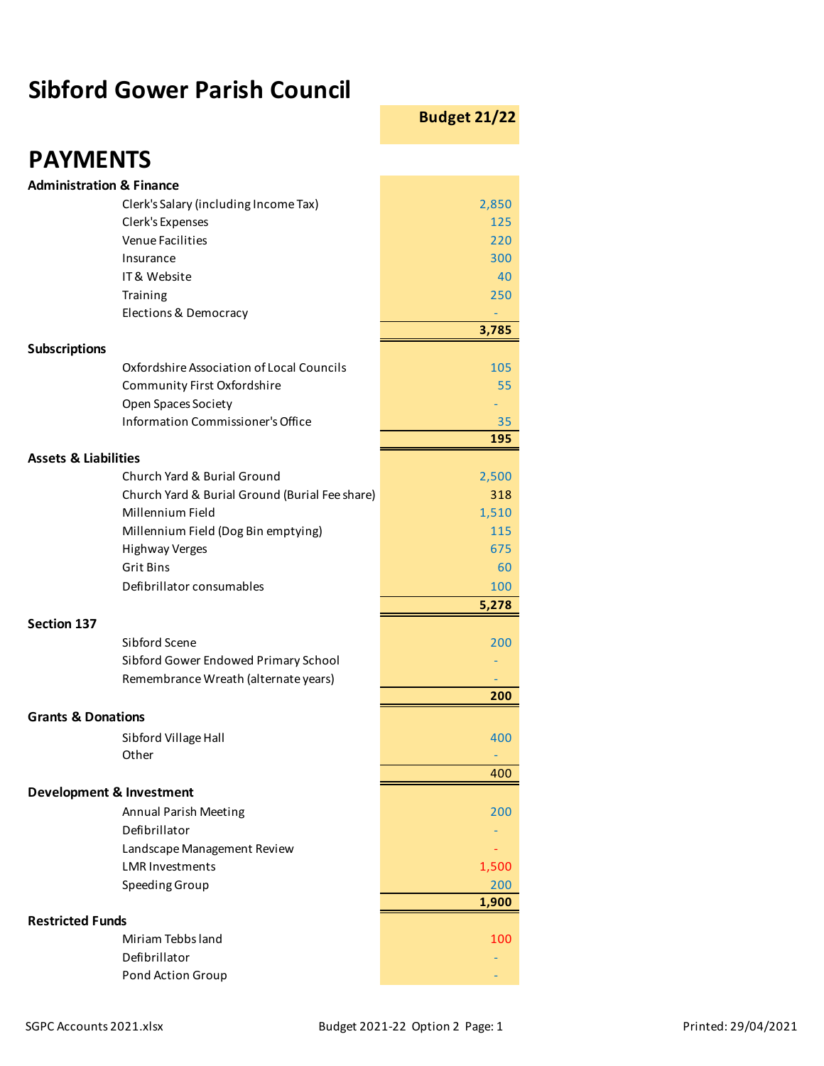## **Sibford Gower Parish Council**

**Budget 21/22**

| <b>PAYMENTS</b>                                                    |              |
|--------------------------------------------------------------------|--------------|
| <b>Administration &amp; Finance</b>                                |              |
| Clerk's Salary (including Income Tax)                              | 2,850        |
| Clerk's Expenses                                                   | 125          |
| <b>Venue Facilities</b>                                            | 220          |
| Insurance                                                          | 300          |
| IT & Website                                                       | 40           |
| Training                                                           | 250          |
| Elections & Democracy                                              | 3,785        |
| <b>Subscriptions</b>                                               |              |
| Oxfordshire Association of Local Councils                          | 105          |
| Community First Oxfordshire                                        | 55           |
| Open Spaces Society                                                |              |
| Information Commissioner's Office                                  | 35           |
|                                                                    | 195          |
| <b>Assets &amp; Liabilities</b>                                    |              |
| Church Yard & Burial Ground                                        | 2,500        |
| Church Yard & Burial Ground (Burial Fee share)<br>Millennium Field | 318<br>1,510 |
| Millennium Field (Dog Bin emptying)                                | 115          |
| <b>Highway Verges</b>                                              | 675          |
| Grit Bins                                                          | 60           |
| Defibrillator consumables                                          | 100          |
|                                                                    | 5,278        |
| <b>Section 137</b>                                                 |              |
| Sibford Scene                                                      | 200          |
| Sibford Gower Endowed Primary School                               |              |
| Remembrance Wreath (alternate years)                               |              |
|                                                                    | 200          |
| <b>Grants &amp; Donations</b>                                      |              |
| Sibford Village Hall<br>Other                                      | 400          |
|                                                                    | 400          |
| <b>Development &amp; Investment</b>                                |              |
| Annual Parish Meeting                                              | 200          |
| Defibrillator                                                      |              |
| Landscape Management Review                                        |              |
| <b>LMR Investments</b>                                             | 1,500        |
| Speeding Group                                                     | 200          |
|                                                                    | 1,900        |
| <b>Restricted Funds</b>                                            |              |
| Miriam Tebbs land                                                  | 100          |
| Defibrillator                                                      |              |
| Pond Action Group                                                  |              |